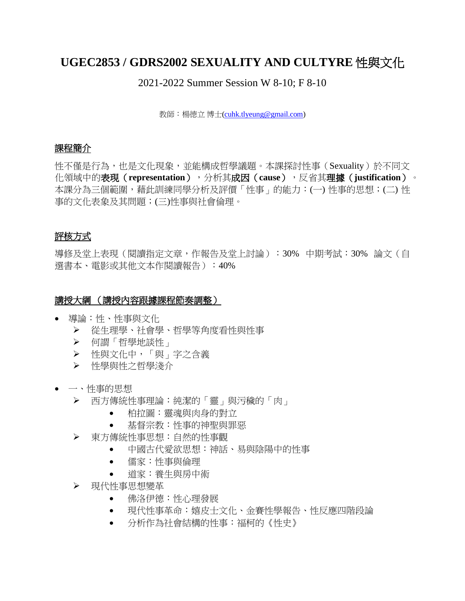# **UGEC2853 / GDRS2002 SEXUALITY AND CULTYRE** 性與文化

2021-2022 Summer Session W 8-10; F 8-10

教師:楊德立 博士[\(cuhk.tlyeung@gmail.com\)](mailto:cuhk.tlyeung@gmail.com)

### 課程簡介

性不僅是行為,也是文化現象,並能構成哲學議題。本課探討性事(Sexuality)於不同文 化領域中的表現(**representation**),分析其成因(**cause**),反省其理據(**justification**)。 本課分為三個範圍,藉此訓練同學分析及評價「性事」的能力:(一) 性事的思想;(二) 性 事的文化表象及其問題;(三)性事與社會倫理。

### 評核方式

導修及堂上表現(閱讀指定文章,作報告及堂上討論):30% 中期考試:30% 論文(自 選書本、電影或其他文本作閱讀報告):40%

#### 講授大綱 (講授內容跟據課程節奏調整)

- 導論:性、性事與文化
	- ➢ 從生理學、社會學、哲學等角度看性與性事
	- ➢ 何謂「哲學地談性」
	- ➢ 性與文化中,「與」字之含義
	- ➢ 性學與性之哲學淺介
- 一、性事的思想
	- ➢ 西方傳統性事理論:純潔的「靈」與污穢的「肉」
		- 柏拉圖:靈魂與肉身的對立
		- 基督宗教:性事的神聖與罪惡
	- ➢ 東方傳統性事思想:自然的性事觀
		- 中國古代愛欲思想:神話、易與陰陽中的性事
		- 儒家:性事與倫理
		- 道家:養生與房中術
	- ➢ 現代性事思想變革
		- 佛洛伊德:性心理發展
		- 現代性事革命:嬉皮士文化、金賽性學報告、性反應四階段論
		- 分析作為社會結構的性事:福柯的《性史》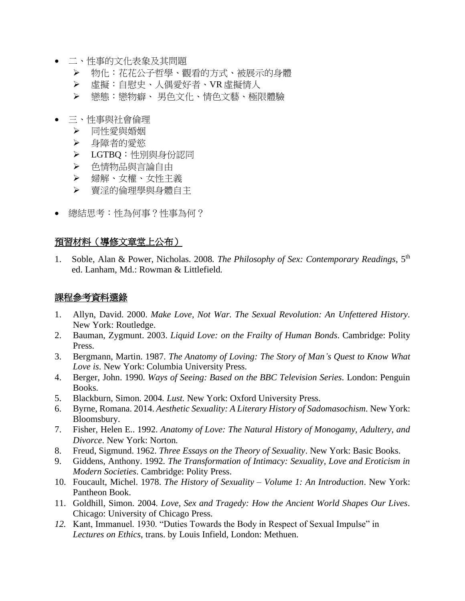- 二、性事的文化表象及其問題
	- ➢ 物化:花花公子哲學、觀看的方式、被展示的身體
	- ➢ 虛擬:自慰史、人偶愛好者、VR 虛擬情人
	- ➢ 戀態:戀物癖、 男色文化、情色文藝、極限體驗
- 三、性事與社會倫理
	- ➢ 同性愛與婚姻
	- ➢ 身障者的愛慾
	- ➢ LGTBQ:性別與身份認同
	- ➢ 色情物品與言論自由
	- ➢ 婦解、女權、女性主義
	- ➢ 賣淫的倫理學與身體自主
- 總結思考:性為何事?性事為何?

#### 預習材料(導修文章堂上公布)

1. Soble, Alan & Power, Nicholas. 2008. *The Philosophy of Sex: Contemporary Readings*, 5th ed. Lanham, Md.: Rowman & Littlefield.

#### 課程參考資料選錄

- 1. Allyn, David. 2000. *Make Love, Not War. The Sexual Revolution: An Unfettered History*. New York: Routledge.
- 2. Bauman, Zygmunt. 2003. *Liquid Love: on the Frailty of Human Bonds*. Cambridge: Polity Press.
- 3. Bergmann, Martin. 1987. *The Anatomy of Loving: The Story of Man's Quest to Know What Love is*. New York: Columbia University Press.
- 4. Berger, John. 1990. *Ways of Seeing: Based on the BBC Television Series*. London: Penguin Books.
- 5. Blackburn, Simon. 2004. *Lust*. New York: Oxford University Press.
- 6. Byrne, Romana. 2014. *Aesthetic Sexuality: A Literary History of Sadomasochism*. New York: Bloomsbury.
- 7. Fisher, Helen E.. 1992. *Anatomy of Love: The Natural History of Monogamy, Adultery, and Divorce*. New York: Norton.
- 8. Freud, Sigmund. 1962. *Three Essays on the Theory of Sexuality*. New York: Basic Books.
- 9. Giddens, Anthony. 1992. *The Transformation of Intimacy: Sexuality, Love and Eroticism in Modern Societies*. Cambridge: Polity Press.
- 10. Foucault, Michel. 1978. *The History of Sexuality – Volume 1: An Introduction*. New York: Pantheon Book.
- 11. Goldhill, Simon. 2004. *Love, Sex and Tragedy: How the Ancient World Shapes Our Lives*. Chicago: University of Chicago Press.
- *12.* Kant, Immanuel. 1930. "Duties Towards the Body in Respect of Sexual Impulse" in *Lectures on Ethics*, trans. by Louis Infield, London: Methuen.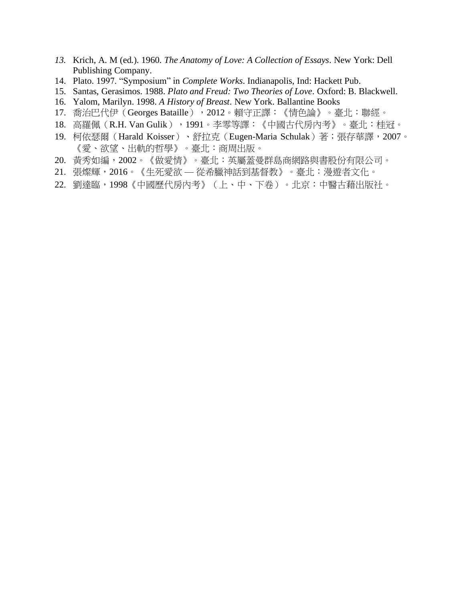- *13.* Krich, A. M (ed.). 1960. *The Anatomy of Love: A Collection of Essays*. New York: Dell Publishing Company.
- 14. Plato. 1997. "Symposium" in *Complete Works*. Indianapolis, Ind: Hackett Pub.
- 15. Santas, Gerasimos. 1988. *Plato and Freud: Two Theories of Love*. Oxford: B. Blackwell.
- 16. Yalom, Marilyn. 1998. *A History of Breast*. New York. Ballantine Books
- 17. 喬治巴代伊 (Georges Bataille), 2012。賴守正譯: 《情色論》。臺北:聯經。
- 18. 高羅佩 (R.H. Van Gulik), 1991。李零等譯:《中國古代房內考》。臺北:桂冠。
- 19. 柯依瑟爾 (Harald Koisser)、舒拉克 (Eugen-Maria Schulak) 著;張存華譯,2007。 《愛、欲望、出軌的哲學》。臺北:商周出版。
- 20. 黃秀如編,2002。《做愛情》。臺北:英屬蓋曼群島商網路與書股份有限公司。
- 21. 張燦輝,2016。《生死愛欲 從希臘神話到基督教》。臺北:漫遊者文化。
- 22. 劉達臨,1998《中國歷代房內考》(上、中、下卷)。北京:中醫古藉出版社。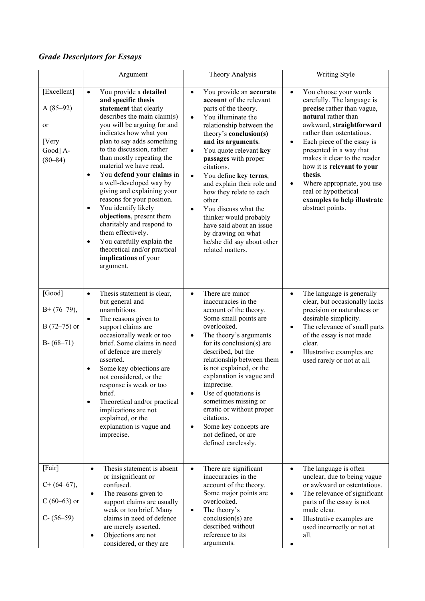## *Grade Descriptors for Essays*

|                                                                     | Argument                                                                                                                                                                                                                                                                                                                                                                                                                                                                                                                                                                                                                                                         | Theory Analysis                                                                                                                                                                                                                                                                                                                                                                                                                                                                                                                                                 | Writing Style                                                                                                                                                                                                                                                                                                                                                                                                                                       |
|---------------------------------------------------------------------|------------------------------------------------------------------------------------------------------------------------------------------------------------------------------------------------------------------------------------------------------------------------------------------------------------------------------------------------------------------------------------------------------------------------------------------------------------------------------------------------------------------------------------------------------------------------------------------------------------------------------------------------------------------|-----------------------------------------------------------------------------------------------------------------------------------------------------------------------------------------------------------------------------------------------------------------------------------------------------------------------------------------------------------------------------------------------------------------------------------------------------------------------------------------------------------------------------------------------------------------|-----------------------------------------------------------------------------------------------------------------------------------------------------------------------------------------------------------------------------------------------------------------------------------------------------------------------------------------------------------------------------------------------------------------------------------------------------|
| [Excellent]<br>$A(85-92)$<br>or<br>[Very<br>Good] A-<br>$(80 - 84)$ | You provide a detailed<br>$\bullet$<br>and specific thesis<br>statement that clearly<br>describes the main claim(s)<br>you will be arguing for and<br>indicates how what you<br>plan to say adds something<br>to the discussion, rather<br>than mostly repeating the<br>material we have read.<br>You defend your claims in<br>$\bullet$<br>a well-developed way by<br>giving and explaining your<br>reasons for your position.<br>You identify likely<br>$\bullet$<br>objections, present them<br>charitably and respond to<br>them effectively.<br>You carefully explain the<br>$\bullet$<br>theoretical and/or practical<br>implications of your<br>argument. | You provide an accurate<br>$\bullet$<br>account of the relevant<br>parts of the theory.<br>You illuminate the<br>$\bullet$<br>relationship between the<br>theory's conclusion(s)<br>and its arguments.<br>You quote relevant key<br>$\bullet$<br>passages with proper<br>citations.<br>You define key terms,<br>$\bullet$<br>and explain their role and<br>how they relate to each<br>other.<br>You discuss what the<br>$\bullet$<br>thinker would probably<br>have said about an issue<br>by drawing on what<br>he/she did say about other<br>related matters. | You choose your words<br>$\bullet$<br>carefully. The language is<br>precise rather than vague,<br>natural rather than<br>awkward, straightforward<br>rather than ostentatious.<br>Each piece of the essay is<br>$\bullet$<br>presented in a way that<br>makes it clear to the reader<br>how it is relevant to your<br>thesis.<br>Where appropriate, you use<br>$\bullet$<br>real or hypothetical<br>examples to help illustrate<br>abstract points. |
| [Good]<br>$B+(76-79),$<br>$B(72-75)$ or<br>$B - (68 - 71)$          | Thesis statement is clear,<br>$\bullet$<br>but general and<br>unambitious.<br>The reasons given to<br>$\bullet$<br>support claims are<br>occasionally weak or too<br>brief. Some claims in need<br>of defence are merely<br>asserted.<br>Some key objections are<br>$\bullet$<br>not considered, or the<br>response is weak or too<br>brief.<br>Theoretical and/or practical<br>$\bullet$<br>implications are not<br>explained, or the<br>explanation is vague and<br>imprecise.                                                                                                                                                                                 | There are minor<br>$\bullet$<br>inaccuracies in the<br>account of the theory.<br>Some small points are<br>overlooked.<br>The theory's arguments<br>$\bullet$<br>for its conclusion( $s$ ) are<br>described, but the<br>relationship between them<br>is not explained, or the<br>explanation is vague and<br>imprecise.<br>Use of quotations is<br>$\bullet$<br>sometimes missing or<br>erratic or without proper<br>citations.<br>Some key concepts are<br>$\bullet$<br>not defined, or are<br>defined carelessly.                                              | The language is generally<br>$\bullet$<br>clear, but occasionally lacks<br>precision or naturalness or<br>desirable simplicity.<br>The relevance of small parts<br>$\bullet$<br>of the essay is not made<br>clear.<br>Illustrative examples are<br>$\bullet$<br>used rarely or not at all.                                                                                                                                                          |
| [Fair]<br>$C+ (64-67),$<br>$C(60-63)$ or<br>$C- (56-59)$            | Thesis statement is absent<br>$\bullet$<br>or insignificant or<br>confused.<br>The reasons given to<br>$\bullet$<br>support claims are usually<br>weak or too brief. Many<br>claims in need of defence<br>are merely asserted.<br>Objections are not<br>٠<br>considered, or they are                                                                                                                                                                                                                                                                                                                                                                             | There are significant<br>inaccuracies in the<br>account of the theory.<br>Some major points are<br>overlooked.<br>The theory's<br>$\bullet$<br>conclusion(s) are<br>described without<br>reference to its<br>arguments.                                                                                                                                                                                                                                                                                                                                         | The language is often<br>$\bullet$<br>unclear, due to being vague<br>or awkward or ostentatious.<br>The relevance of significant<br>$\bullet$<br>parts of the essay is not<br>made clear.<br>Illustrative examples are<br>$\bullet$<br>used incorrectly or not at<br>all.                                                                                                                                                                           |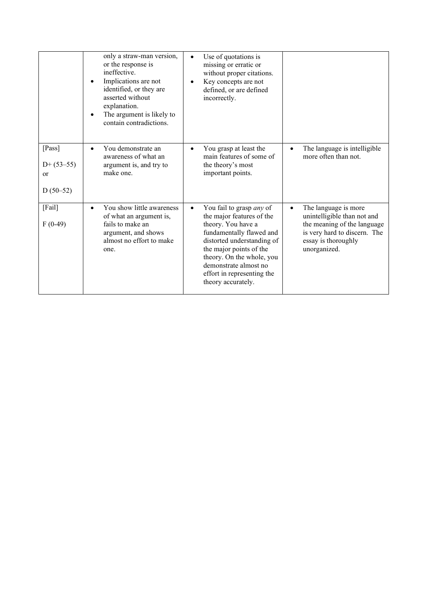|                                                       | only a straw-man version,<br>or the response is<br>ineffective.<br>Implications are not<br>$\bullet$<br>identified, or they are<br>asserted without<br>explanation.<br>The argument is likely to<br>contain contradictions. | Use of quotations is<br>missing or erratic or<br>without proper citations.<br>Key concepts are not<br>defined, or are defined<br>incorrectly.                                                                                                                              |                                                                                                                                                                        |
|-------------------------------------------------------|-----------------------------------------------------------------------------------------------------------------------------------------------------------------------------------------------------------------------------|----------------------------------------------------------------------------------------------------------------------------------------------------------------------------------------------------------------------------------------------------------------------------|------------------------------------------------------------------------------------------------------------------------------------------------------------------------|
| [Pass]<br>$D+ (53-55)$<br><sub>or</sub><br>$D(50-52)$ | You demonstrate an<br>$\bullet$<br>awareness of what an<br>argument is, and try to<br>make one.                                                                                                                             | You grasp at least the<br>٠<br>main features of some of<br>the theory's most<br>important points.                                                                                                                                                                          | The language is intelligible<br>$\bullet$<br>more often than not.                                                                                                      |
| [Fail]<br>$F(0-49)$                                   | You show little awareness<br>$\bullet$<br>of what an argument is,<br>fails to make an<br>argument, and shows<br>almost no effort to make<br>one.                                                                            | You fail to grasp any of<br>the major features of the<br>theory. You have a<br>fundamentally flawed and<br>distorted understanding of<br>the major points of the<br>theory. On the whole, you<br>demonstrate almost no<br>effort in representing the<br>theory accurately. | The language is more<br>$\bullet$<br>unintelligible than not and<br>the meaning of the language<br>is very hard to discern. The<br>essay is thoroughly<br>unorganized. |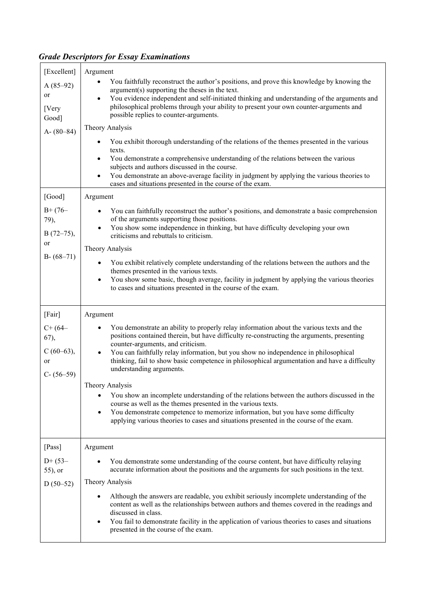# *Grade Descriptors for Essay Examinations*

| [Excellent]                                               | Argument                                                                                                                                                                                                                                                                                                                                                                                                   |  |  |
|-----------------------------------------------------------|------------------------------------------------------------------------------------------------------------------------------------------------------------------------------------------------------------------------------------------------------------------------------------------------------------------------------------------------------------------------------------------------------------|--|--|
| $A(85-92)$<br>or<br>[Very<br>Good]                        | You faithfully reconstruct the author's positions, and prove this knowledge by knowing the<br>argument(s) supporting the theses in the text.<br>You evidence independent and self-initiated thinking and understanding of the arguments and<br>philosophical problems through your ability to present your own counter-arguments and<br>possible replies to counter-arguments.                             |  |  |
| A- $(80-84)$                                              | Theory Analysis                                                                                                                                                                                                                                                                                                                                                                                            |  |  |
|                                                           | You exhibit thorough understanding of the relations of the themes presented in the various<br>texts.<br>You demonstrate a comprehensive understanding of the relations between the various<br>٠<br>subjects and authors discussed in the course.<br>You demonstrate an above-average facility in judgment by applying the various theories to<br>cases and situations presented in the course of the exam. |  |  |
| [Good]                                                    | Argument                                                                                                                                                                                                                                                                                                                                                                                                   |  |  |
| $B+$ (76-<br>79),<br>$B(72-75),$<br>or<br>$B - (68 - 71)$ | You can faithfully reconstruct the author's positions, and demonstrate a basic comprehension<br>of the arguments supporting those positions.<br>You show some independence in thinking, but have difficulty developing your own<br>$\bullet$<br>criticisms and rebuttals to criticism.                                                                                                                     |  |  |
|                                                           | Theory Analysis                                                                                                                                                                                                                                                                                                                                                                                            |  |  |
|                                                           | You exhibit relatively complete understanding of the relations between the authors and the<br>٠<br>themes presented in the various texts.<br>You show some basic, though average, facility in judgment by applying the various theories<br>$\bullet$<br>to cases and situations presented in the course of the exam.                                                                                       |  |  |
| [Fair]                                                    | Argument                                                                                                                                                                                                                                                                                                                                                                                                   |  |  |
| $C+ (64-$                                                 | You demonstrate an ability to properly relay information about the various texts and the<br>٠                                                                                                                                                                                                                                                                                                              |  |  |
| 67),<br>$C(60-63),$<br>or<br>$C - (56 - 59)$              | positions contained therein, but have difficulty re-constructing the arguments, presenting<br>counter-arguments, and criticism.<br>You can faithfully relay information, but you show no independence in philosophical<br>$\bullet$<br>thinking, fail to show basic competence in philosophical argumentation and have a difficulty<br>understanding arguments.                                            |  |  |
|                                                           | Theory Analysis                                                                                                                                                                                                                                                                                                                                                                                            |  |  |
|                                                           | You show an incomplete understanding of the relations between the authors discussed in the<br>course as well as the themes presented in the various texts.<br>You demonstrate competence to memorize information, but you have some difficulty<br>$\bullet$<br>applying various theories to cases and situations presented in the course of the exam.                                                      |  |  |
| [Pass]                                                    | Argument                                                                                                                                                                                                                                                                                                                                                                                                   |  |  |
| $D+$ (53–<br>55), or                                      | You demonstrate some understanding of the course content, but have difficulty relaying<br>accurate information about the positions and the arguments for such positions in the text.                                                                                                                                                                                                                       |  |  |
| $D(50-52)$                                                | Theory Analysis                                                                                                                                                                                                                                                                                                                                                                                            |  |  |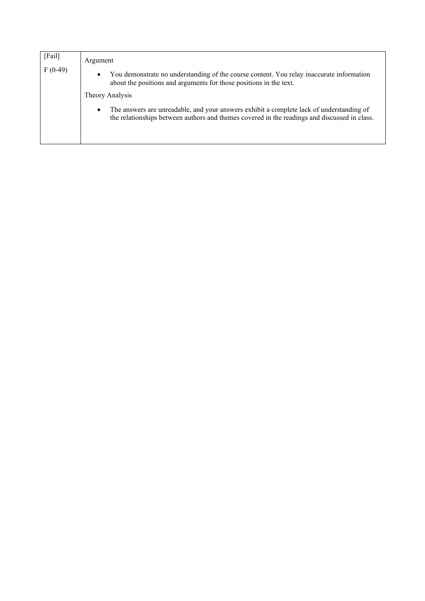| [[.]      | Argument                                                                                                                                                                                              |  |  |
|-----------|-------------------------------------------------------------------------------------------------------------------------------------------------------------------------------------------------------|--|--|
| $F(0-49)$ | You demonstrate no understanding of the course content. You relay inaccurate information<br>$\bullet$<br>about the positions and arguments for those positions in the text.                           |  |  |
|           | Theory Analysis                                                                                                                                                                                       |  |  |
|           | The answers are unreadable, and your answers exhibit a complete lack of understanding of<br>$\bullet$<br>the relationships between authors and themes covered in the readings and discussed in class. |  |  |